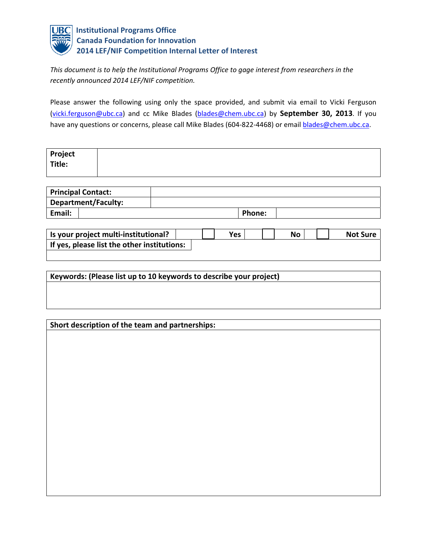

*This document is to help the Institutional Programs Office to gage interest from researchers in the recently announced 2014 LEF/NIF competition.*

Please answer the following using only the space provided, and submit via email to Vicki Ferguson (vicki.ferguson@ubc.ca) and cc Mike Blades (blades@chem.ubc.ca) by **September 30, 2013**. If you have any questions or concerns, please call Mike Blades (604-822-4468) or email **blades@chem.ubc.ca.** 

| Project<br>Title: |  |
|-------------------|--|
|                   |  |

| <b>Principal Contact:</b> |        |  |
|---------------------------|--------|--|
| Department/Faculty:       |        |  |
| Email:                    | Phone: |  |

| Is your project multi-institutional?        | Yes | No | <b>Not Sure</b> |
|---------------------------------------------|-----|----|-----------------|
| If yes, please list the other institutions: |     |    |                 |

| Keywords: (Please list up to 10 keywords to describe your project) |
|--------------------------------------------------------------------|
|                                                                    |
|                                                                    |
|                                                                    |

| Short description of the team and partnerships: |  |  |  |  |  |  |
|-------------------------------------------------|--|--|--|--|--|--|
|                                                 |  |  |  |  |  |  |
|                                                 |  |  |  |  |  |  |
|                                                 |  |  |  |  |  |  |
|                                                 |  |  |  |  |  |  |
|                                                 |  |  |  |  |  |  |
|                                                 |  |  |  |  |  |  |
|                                                 |  |  |  |  |  |  |
|                                                 |  |  |  |  |  |  |
|                                                 |  |  |  |  |  |  |
|                                                 |  |  |  |  |  |  |
|                                                 |  |  |  |  |  |  |
|                                                 |  |  |  |  |  |  |
|                                                 |  |  |  |  |  |  |
|                                                 |  |  |  |  |  |  |
|                                                 |  |  |  |  |  |  |
|                                                 |  |  |  |  |  |  |
|                                                 |  |  |  |  |  |  |
|                                                 |  |  |  |  |  |  |
|                                                 |  |  |  |  |  |  |
|                                                 |  |  |  |  |  |  |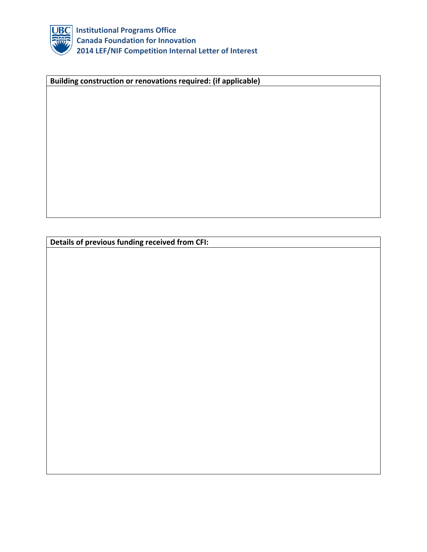

 **Institutional Programs Office Canada Foundation for Innovation 2014 LEF/NIF Competition Internal Letter of Interest**

**Building construction or renovations required: (if applicable)**

**Details of previous funding received from CFI:**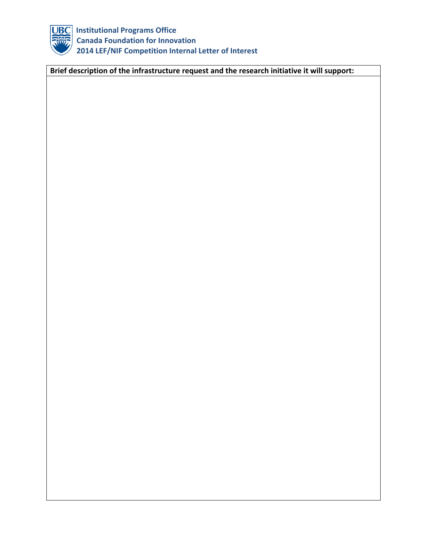

 **Institutional Programs Office Canada Foundation for Innovation 2014 LEF/NIF Competition Internal Letter of Interest**

**Brief description of the infrastructure request and the research initiative it will support:**